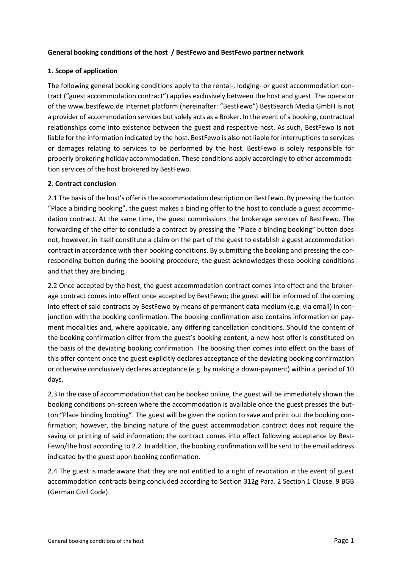### **General booking conditions of the host / BestFewo and BestFewo partner network**

### **1. Scope of application**

The following general booking conditions apply to the rental-, lodging- or guest accommodation contract ("guest accommodation contract") applies exclusively between the host and guest. The operator of the www.bestfewo.de Internet platform (hereinafter: "BestFewo") BestSearch Media GmbH is not a provider of accommodation services but solely acts as a Broker. In the event of a booking, contractual relationships come into existence between the guest and respective host. As such, BestFewo is not liable for the information indicated by the host. BestFewo is also not liable for interruptions to services or damages relating to services to be performed by the host. BestFewo is solely responsible for properly brokering holiday accommodation. These conditions apply accordingly to other accommodation services of the host brokered by BestFewo.

### **2. Contract conclusion**

2.1 The basis of the host's offer is the accommodation description on BestFewo. By pressing the button "Place a binding booking", the guest makes a binding offer to the host to conclude a guest accommodation contract. At the same time, the guest commissions the brokerage services of BestFewo. The forwarding of the offer to conclude a contract by pressing the "Place a binding booking" button does not, however, in itself constitute a claim on the part of the guest to establish a guest accommodation contract in accordance with their booking conditions. By submitting the booking and pressing the corresponding button during the booking procedure, the guest acknowledges these booking conditions and that they are binding.

2.2 Once accepted by the host, the guest accommodation contract comes into effect and the brokerage contract comes into effect once accepted by BestFewo; the guest will be informed of the coming into effect of said contracts by BestFewo by means of permanent data medium (e.g. via email) in conjunction with the booking confirmation. The booking confirmation also contains information on payment modalities and, where applicable, any differing cancellation conditions. Should the content of the booking confirmation differ from the guest's booking content, a new host offer is constituted on the basis of the deviating booking confirmation. The booking then comes into effect on the basis of this offer content once the guest explicitly declares acceptance of the deviating booking confirmation or otherwise conclusively declares acceptance (e.g. by making a down-payment) within a period of 10 days.

2.3 In the case of accommodation that can be booked online, the guest will be immediately shown the booking conditions on-screen where the accommodation is available once the guest presses the button "Place binding booking". The guest will be given the option to save and print out the booking confirmation; however, the binding nature of the guest accommodation contract does not require the saving or printing of said information; the contract comes into effect following acceptance by Best-Fewo/the host according to 2.2. In addition, the booking confirmation will be sent to the email address indicated by the guest upon booking confirmation.

2.4 The guest is made aware that they are not entitled to a right of revocation in the event of guest accommodation contracts being concluded according to Section 312g Para. 2 Section 1 Clause. 9 BGB (German Civil Code).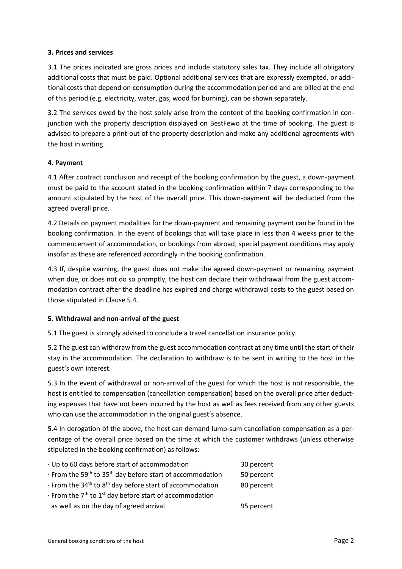### **3. Prices and services**

3.1 The prices indicated are gross prices and include statutory sales tax. They include all obligatory additional costs that must be paid. Optional additional services that are expressly exempted, or additional costs that depend on consumption during the accommodation period and are billed at the end of this period (e.g. electricity, water, gas, wood for burning), can be shown separately.

3.2 The services owed by the host solely arise from the content of the booking confirmation in conjunction with the property description displayed on BestFewo at the time of booking. The guest is advised to prepare a print-out of the property description and make any additional agreements with the host in writing.

### **4. Payment**

4.1 After contract conclusion and receipt of the booking confirmation by the guest, a down-payment must be paid to the account stated in the booking confirmation within 7 days corresponding to the amount stipulated by the host of the overall price. This down-payment will be deducted from the agreed overall price.

4.2 Details on payment modalities for the down-payment and remaining payment can be found in the booking confirmation. In the event of bookings that will take place in less than 4 weeks prior to the commencement of accommodation, or bookings from abroad, special payment conditions may apply insofar as these are referenced accordingly in the booking confirmation.

4.3 If, despite warning, the guest does not make the agreed down-payment or remaining payment when due, or does not do so promptly, the host can declare their withdrawal from the guest accommodation contract after the deadline has expired and charge withdrawal costs to the guest based on those stipulated in Clause 5.4.

#### **5. Withdrawal and non-arrival of the guest**

5.1 The guest is strongly advised to conclude a travel cancellation insurance policy.

5.2 The guest can withdraw from the guest accommodation contract at any time until the start of their stay in the accommodation. The declaration to withdraw is to be sent in writing to the host in the guest's own interest.

5.3 In the event of withdrawal or non-arrival of the guest for which the host is not responsible, the host is entitled to compensation (cancellation compensation) based on the overall price after deducting expenses that have not been incurred by the host as well as fees received from any other guests who can use the accommodation in the original guest's absence.

5.4 In derogation of the above, the host can demand lump-sum cancellation compensation as a percentage of the overall price based on the time at which the customer withdraws (unless otherwise stipulated in the booking confirmation) as follows:

| Up to 60 days before start of accommodation                                             | 30 percent |
|-----------------------------------------------------------------------------------------|------------|
| $\cdot$ From the 59 <sup>th</sup> to 35 <sup>th</sup> day before start of accommodation | 50 percent |
| $\cdot$ From the 34 <sup>th</sup> to 8 <sup>th</sup> day before start of accommodation  | 80 percent |
| $\cdot$ From the 7 <sup>th</sup> to 1 <sup>st</sup> day before start of accommodation   |            |
| as well as on the day of agreed arrival                                                 | 95 percent |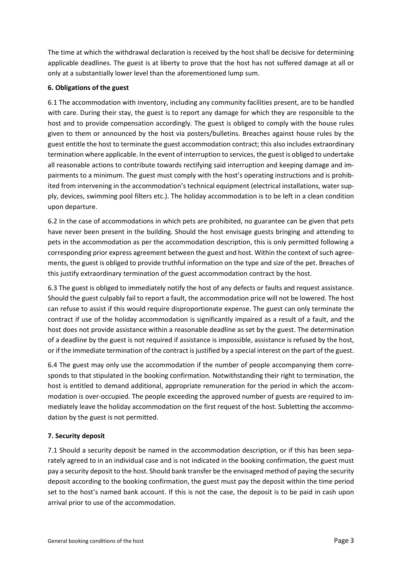The time at which the withdrawal declaration is received by the host shall be decisive for determining applicable deadlines. The guest is at liberty to prove that the host has not suffered damage at all or only at a substantially lower level than the aforementioned lump sum.

## **6. Obligations of the guest**

6.1 The accommodation with inventory, including any community facilities present, are to be handled with care. During their stay, the guest is to report any damage for which they are responsible to the host and to provide compensation accordingly. The guest is obliged to comply with the house rules given to them or announced by the host via posters/bulletins. Breaches against house rules by the guest entitle the host to terminate the guest accommodation contract; this also includes extraordinary termination where applicable. In the event of interruption to services, the guest is obliged to undertake all reasonable actions to contribute towards rectifying said interruption and keeping damage and impairments to a minimum. The guest must comply with the host's operating instructions and is prohibited from intervening in the accommodation's technical equipment (electrical installations, water supply, devices, swimming pool filters etc.). The holiday accommodation is to be left in a clean condition upon departure.

6.2 In the case of accommodations in which pets are prohibited, no guarantee can be given that pets have never been present in the building. Should the host envisage guests bringing and attending to pets in the accommodation as per the accommodation description, this is only permitted following a corresponding prior express agreement between the guest and host. Within the context of such agreements, the guest is obliged to provide truthful information on the type and size of the pet. Breaches of this justify extraordinary termination of the guest accommodation contract by the host.

6.3 The guest is obliged to immediately notify the host of any defects or faults and request assistance. Should the guest culpably fail to report a fault, the accommodation price will not be lowered. The host can refuse to assist if this would require disproportionate expense. The guest can only terminate the contract if use of the holiday accommodation is significantly impaired as a result of a fault, and the host does not provide assistance within a reasonable deadline as set by the guest. The determination of a deadline by the guest is not required if assistance is impossible, assistance is refused by the host, or if the immediate termination of the contract is justified by a special interest on the part of the guest.

6.4 The guest may only use the accommodation if the number of people accompanying them corresponds to that stipulated in the booking confirmation. Notwithstanding their right to termination, the host is entitled to demand additional, appropriate remuneration for the period in which the accommodation is over-occupied. The people exceeding the approved number of guests are required to immediately leave the holiday accommodation on the first request of the host. Subletting the accommodation by the guest is not permitted.

# **7. Security deposit**

7.1 Should a security deposit be named in the accommodation description, or if this has been separately agreed to in an individual case and is not indicated in the booking confirmation, the guest must pay a security deposit to the host. Should bank transfer be the envisaged method of paying the security deposit according to the booking confirmation, the guest must pay the deposit within the time period set to the host's named bank account. If this is not the case, the deposit is to be paid in cash upon arrival prior to use of the accommodation.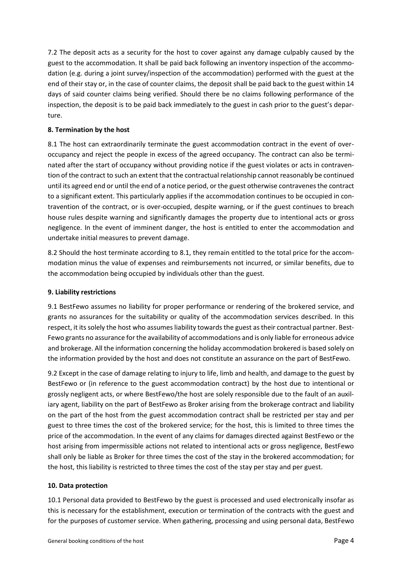7.2 The deposit acts as a security for the host to cover against any damage culpably caused by the guest to the accommodation. It shall be paid back following an inventory inspection of the accommodation (e.g. during a joint survey/inspection of the accommodation) performed with the guest at the end of their stay or, in the case of counter claims, the deposit shall be paid back to the guest within 14 days of said counter claims being verified. Should there be no claims following performance of the inspection, the deposit is to be paid back immediately to the guest in cash prior to the guest's departure.

## **8. Termination by the host**

8.1 The host can extraordinarily terminate the guest accommodation contract in the event of overoccupancy and reject the people in excess of the agreed occupancy. The contract can also be terminated after the start of occupancy without providing notice if the guest violates or acts in contravention of the contract to such an extent that the contractual relationship cannot reasonably be continued until its agreed end or until the end of a notice period, or the guest otherwise contravenes the contract to a significant extent. This particularly applies if the accommodation continues to be occupied in contravention of the contract, or is over-occupied, despite warning, or if the guest continues to breach house rules despite warning and significantly damages the property due to intentional acts or gross negligence. In the event of imminent danger, the host is entitled to enter the accommodation and undertake initial measures to prevent damage.

8.2 Should the host terminate according to 8.1, they remain entitled to the total price for the accommodation minus the value of expenses and reimbursements not incurred, or similar benefits, due to the accommodation being occupied by individuals other than the guest.

## **9. Liability restrictions**

9.1 BestFewo assumes no liability for proper performance or rendering of the brokered service, and grants no assurances for the suitability or quality of the accommodation services described. In this respect, it its solely the host who assumes liability towards the guest as their contractual partner. Best-Fewo grants no assurance for the availability of accommodations and is only liable for erroneous advice and brokerage. All the information concerning the holiday accommodation brokered is based solely on the information provided by the host and does not constitute an assurance on the part of BestFewo.

9.2 Except in the case of damage relating to injury to life, limb and health, and damage to the guest by BestFewo or (in reference to the guest accommodation contract) by the host due to intentional or grossly negligent acts, or where BestFewo/the host are solely responsible due to the fault of an auxiliary agent, liability on the part of BestFewo as Broker arising from the brokerage contract and liability on the part of the host from the guest accommodation contract shall be restricted per stay and per guest to three times the cost of the brokered service; for the host, this is limited to three times the price of the accommodation. In the event of any claims for damages directed against BestFewo or the host arising from impermissible actions not related to intentional acts or gross negligence, BestFewo shall only be liable as Broker for three times the cost of the stay in the brokered accommodation; for the host, this liability is restricted to three times the cost of the stay per stay and per guest.

## **10. Data protection**

10.1 Personal data provided to BestFewo by the guest is processed and used electronically insofar as this is necessary for the establishment, execution or termination of the contracts with the guest and for the purposes of customer service. When gathering, processing and using personal data, BestFewo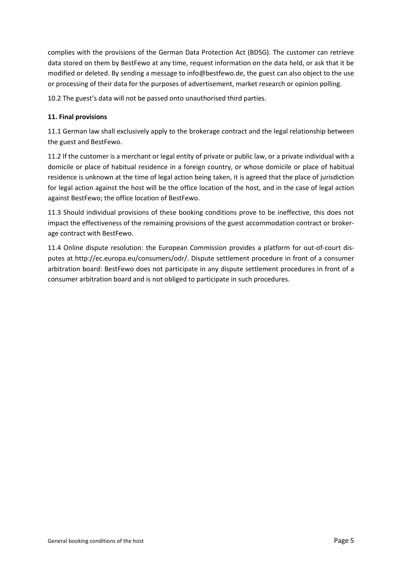complies with the provisions of the German Data Protection Act (BDSG). The customer can retrieve data stored on them by BestFewo at any time, request information on the data held, or ask that it be modified or deleted. By sending a message to info@bestfewo.de, the guest can also object to the use or processing of their data for the purposes of advertisement, market research or opinion polling.

10.2 The guest's data will not be passed onto unauthorised third parties.

## **11. Final provisions**

11.1 German law shall exclusively apply to the brokerage contract and the legal relationship between the guest and BestFewo.

11.2 If the customer is a merchant or legal entity of private or public law, or a private individual with a domicile or place of habitual residence in a foreign country, or whose domicile or place of habitual residence is unknown at the time of legal action being taken, it is agreed that the place of jurisdiction for legal action against the host will be the office location of the host, and in the case of legal action against BestFewo; the office location of BestFewo.

11.3 Should individual provisions of these booking conditions prove to be ineffective, this does not impact the effectiveness of the remaining provisions of the guest accommodation contract or brokerage contract with BestFewo.

11.4 Online dispute resolution: the European Commission provides a platform for out-of-court disputes at http://ec.europa.eu/consumers/odr/. Dispute settlement procedure in front of a consumer arbitration board: BestFewo does not participate in any dispute settlement procedures in front of a consumer arbitration board and is not obliged to participate in such procedures.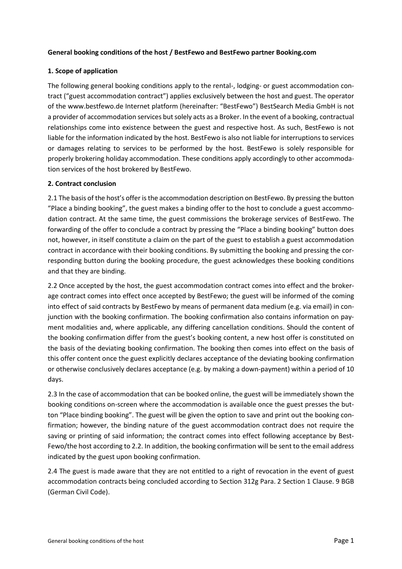### **General booking conditions of the host / BestFewo and BestFewo partner Booking.com**

### **1. Scope of application**

The following general booking conditions apply to the rental-, lodging- or guest accommodation contract ("guest accommodation contract") applies exclusively between the host and guest. The operator of the www.bestfewo.de Internet platform (hereinafter: "BestFewo") BestSearch Media GmbH is not a provider of accommodation services but solely acts as a Broker. In the event of a booking, contractual relationships come into existence between the guest and respective host. As such, BestFewo is not liable for the information indicated by the host. BestFewo is also not liable for interruptions to services or damages relating to services to be performed by the host. BestFewo is solely responsible for properly brokering holiday accommodation. These conditions apply accordingly to other accommodation services of the host brokered by BestFewo.

### **2. Contract conclusion**

2.1 The basis of the host's offer is the accommodation description on BestFewo. By pressing the button "Place a binding booking", the guest makes a binding offer to the host to conclude a guest accommodation contract. At the same time, the guest commissions the brokerage services of BestFewo. The forwarding of the offer to conclude a contract by pressing the "Place a binding booking" button does not, however, in itself constitute a claim on the part of the guest to establish a guest accommodation contract in accordance with their booking conditions. By submitting the booking and pressing the corresponding button during the booking procedure, the guest acknowledges these booking conditions and that they are binding.

2.2 Once accepted by the host, the guest accommodation contract comes into effect and the brokerage contract comes into effect once accepted by BestFewo; the guest will be informed of the coming into effect of said contracts by BestFewo by means of permanent data medium (e.g. via email) in conjunction with the booking confirmation. The booking confirmation also contains information on payment modalities and, where applicable, any differing cancellation conditions. Should the content of the booking confirmation differ from the guest's booking content, a new host offer is constituted on the basis of the deviating booking confirmation. The booking then comes into effect on the basis of this offer content once the guest explicitly declares acceptance of the deviating booking confirmation or otherwise conclusively declares acceptance (e.g. by making a down-payment) within a period of 10 days.

2.3 In the case of accommodation that can be booked online, the guest will be immediately shown the booking conditions on-screen where the accommodation is available once the guest presses the button "Place binding booking". The guest will be given the option to save and print out the booking confirmation; however, the binding nature of the guest accommodation contract does not require the saving or printing of said information; the contract comes into effect following acceptance by Best-Fewo/the host according to 2.2. In addition, the booking confirmation will be sent to the email address indicated by the guest upon booking confirmation.

2.4 The guest is made aware that they are not entitled to a right of revocation in the event of guest accommodation contracts being concluded according to Section 312g Para. 2 Section 1 Clause. 9 BGB (German Civil Code).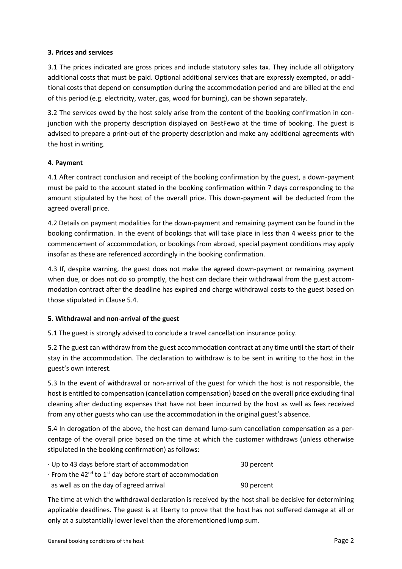### **3. Prices and services**

3.1 The prices indicated are gross prices and include statutory sales tax. They include all obligatory additional costs that must be paid. Optional additional services that are expressly exempted, or additional costs that depend on consumption during the accommodation period and are billed at the end of this period (e.g. electricity, water, gas, wood for burning), can be shown separately.

3.2 The services owed by the host solely arise from the content of the booking confirmation in conjunction with the property description displayed on BestFewo at the time of booking. The guest is advised to prepare a print-out of the property description and make any additional agreements with the host in writing.

### **4. Payment**

4.1 After contract conclusion and receipt of the booking confirmation by the guest, a down-payment must be paid to the account stated in the booking confirmation within 7 days corresponding to the amount stipulated by the host of the overall price. This down-payment will be deducted from the agreed overall price.

4.2 Details on payment modalities for the down-payment and remaining payment can be found in the booking confirmation. In the event of bookings that will take place in less than 4 weeks prior to the commencement of accommodation, or bookings from abroad, special payment conditions may apply insofar as these are referenced accordingly in the booking confirmation.

4.3 If, despite warning, the guest does not make the agreed down-payment or remaining payment when due, or does not do so promptly, the host can declare their withdrawal from the guest accommodation contract after the deadline has expired and charge withdrawal costs to the guest based on those stipulated in Clause 5.4.

#### **5. Withdrawal and non-arrival of the guest**

5.1 The guest is strongly advised to conclude a travel cancellation insurance policy.

5.2 The guest can withdraw from the guest accommodation contract at any time until the start of their stay in the accommodation. The declaration to withdraw is to be sent in writing to the host in the guest's own interest.

5.3 In the event of withdrawal or non-arrival of the guest for which the host is not responsible, the host is entitled to compensation (cancellation compensation) based on the overall price excluding final cleaning after deducting expenses that have not been incurred by the host as well as fees received from any other guests who can use the accommodation in the original guest's absence.

5.4 In derogation of the above, the host can demand lump-sum cancellation compensation as a percentage of the overall price based on the time at which the customer withdraws (unless otherwise stipulated in the booking confirmation) as follows:

| Up to 43 days before start of accommodation                                            | 30 percent |
|----------------------------------------------------------------------------------------|------------|
| $\cdot$ From the 42 <sup>nd</sup> to 1 <sup>st</sup> day before start of accommodation |            |
| as well as on the day of agreed arrival                                                | 90 percent |

The time at which the withdrawal declaration is received by the host shall be decisive for determining applicable deadlines. The guest is at liberty to prove that the host has not suffered damage at all or only at a substantially lower level than the aforementioned lump sum.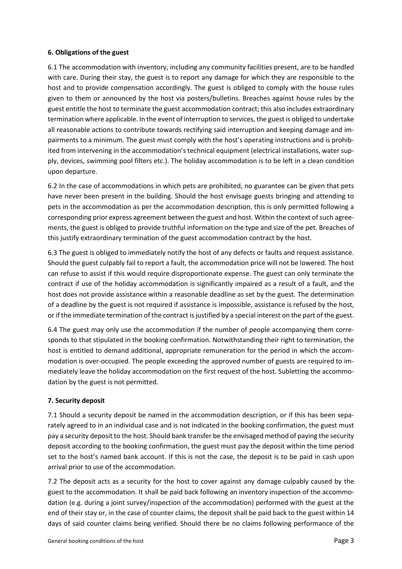### **6. Obligations of the guest**

6.1 The accommodation with inventory, including any community facilities present, are to be handled with care. During their stay, the guest is to report any damage for which they are responsible to the host and to provide compensation accordingly. The guest is obliged to comply with the house rules given to them or announced by the host via posters/bulletins. Breaches against house rules by the guest entitle the host to terminate the guest accommodation contract; this also includes extraordinary termination where applicable. In the event of interruption to services, the guest is obliged to undertake all reasonable actions to contribute towards rectifying said interruption and keeping damage and impairments to a minimum. The guest must comply with the host's operating instructions and is prohibited from intervening in the accommodation's technical equipment (electrical installations, water supply, devices, swimming pool filters etc.). The holiday accommodation is to be left in a clean condition upon departure.

6.2 In the case of accommodations in which pets are prohibited, no guarantee can be given that pets have never been present in the building. Should the host envisage guests bringing and attending to pets in the accommodation as per the accommodation description, this is only permitted following a corresponding prior express agreement between the guest and host. Within the context of such agreements, the guest is obliged to provide truthful information on the type and size of the pet. Breaches of this justify extraordinary termination of the guest accommodation contract by the host.

6.3 The guest is obliged to immediately notify the host of any defects or faults and request assistance. Should the guest culpably fail to report a fault, the accommodation price will not be lowered. The host can refuse to assist if this would require disproportionate expense. The guest can only terminate the contract if use of the holiday accommodation is significantly impaired as a result of a fault, and the host does not provide assistance within a reasonable deadline as set by the guest. The determination of a deadline by the guest is not required if assistance is impossible, assistance is refused by the host, or if the immediate termination of the contract is justified by a special interest on the part of the guest.

6.4 The guest may only use the accommodation if the number of people accompanying them corresponds to that stipulated in the booking confirmation. Notwithstanding their right to termination, the host is entitled to demand additional, appropriate remuneration for the period in which the accommodation is over-occupied. The people exceeding the approved number of guests are required to immediately leave the holiday accommodation on the first request of the host. Subletting the accommodation by the guest is not permitted.

## **7. Security deposit**

7.1 Should a security deposit be named in the accommodation description, or if this has been separately agreed to in an individual case and is not indicated in the booking confirmation, the guest must pay a security deposit to the host. Should bank transfer be the envisaged method of paying the security deposit according to the booking confirmation, the guest must pay the deposit within the time period set to the host's named bank account. If this is not the case, the deposit is to be paid in cash upon arrival prior to use of the accommodation.

7.2 The deposit acts as a security for the host to cover against any damage culpably caused by the guest to the accommodation. It shall be paid back following an inventory inspection of the accommodation (e.g. during a joint survey/inspection of the accommodation) performed with the guest at the end of their stay or, in the case of counter claims, the deposit shall be paid back to the guest within 14 days of said counter claims being verified. Should there be no claims following performance of the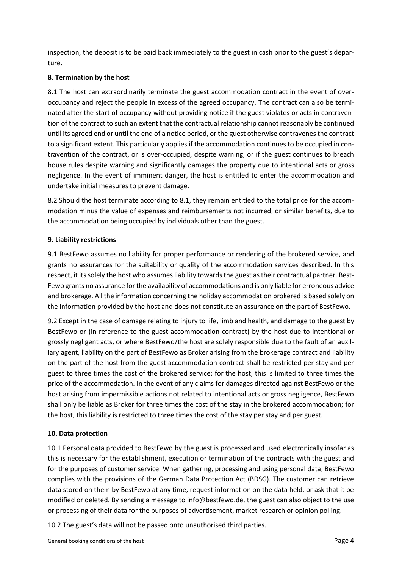inspection, the deposit is to be paid back immediately to the guest in cash prior to the guest's departure.

### **8. Termination by the host**

8.1 The host can extraordinarily terminate the guest accommodation contract in the event of overoccupancy and reject the people in excess of the agreed occupancy. The contract can also be terminated after the start of occupancy without providing notice if the guest violates or acts in contravention of the contract to such an extent that the contractual relationship cannot reasonably be continued until its agreed end or until the end of a notice period, or the guest otherwise contravenes the contract to a significant extent. This particularly applies if the accommodation continues to be occupied in contravention of the contract, or is over-occupied, despite warning, or if the guest continues to breach house rules despite warning and significantly damages the property due to intentional acts or gross negligence. In the event of imminent danger, the host is entitled to enter the accommodation and undertake initial measures to prevent damage.

8.2 Should the host terminate according to 8.1, they remain entitled to the total price for the accommodation minus the value of expenses and reimbursements not incurred, or similar benefits, due to the accommodation being occupied by individuals other than the guest.

### **9. Liability restrictions**

9.1 BestFewo assumes no liability for proper performance or rendering of the brokered service, and grants no assurances for the suitability or quality of the accommodation services described. In this respect, it its solely the host who assumes liability towards the guest as their contractual partner. Best-Fewo grants no assurance for the availability of accommodations and is only liable for erroneous advice and brokerage. All the information concerning the holiday accommodation brokered is based solely on the information provided by the host and does not constitute an assurance on the part of BestFewo.

9.2 Except in the case of damage relating to injury to life, limb and health, and damage to the guest by BestFewo or (in reference to the guest accommodation contract) by the host due to intentional or grossly negligent acts, or where BestFewo/the host are solely responsible due to the fault of an auxiliary agent, liability on the part of BestFewo as Broker arising from the brokerage contract and liability on the part of the host from the guest accommodation contract shall be restricted per stay and per guest to three times the cost of the brokered service; for the host, this is limited to three times the price of the accommodation. In the event of any claims for damages directed against BestFewo or the host arising from impermissible actions not related to intentional acts or gross negligence, BestFewo shall only be liable as Broker for three times the cost of the stay in the brokered accommodation; for the host, this liability is restricted to three times the cost of the stay per stay and per guest.

#### **10. Data protection**

10.1 Personal data provided to BestFewo by the guest is processed and used electronically insofar as this is necessary for the establishment, execution or termination of the contracts with the guest and for the purposes of customer service. When gathering, processing and using personal data, BestFewo complies with the provisions of the German Data Protection Act (BDSG). The customer can retrieve data stored on them by BestFewo at any time, request information on the data held, or ask that it be modified or deleted. By sending a message to info@bestfewo.de, the guest can also object to the use or processing of their data for the purposes of advertisement, market research or opinion polling.

10.2 The guest's data will not be passed onto unauthorised third parties.